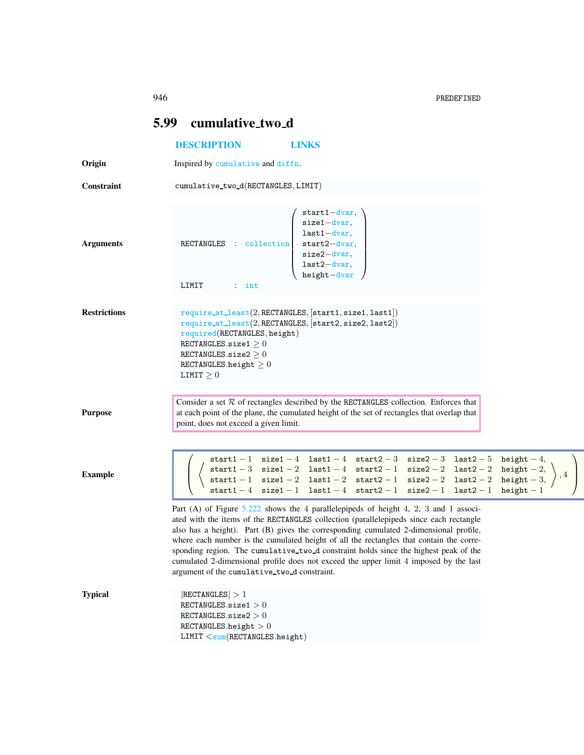$\setminus$ 

 $\overline{\phantom{a}}$ 

|                     | 5.99<br>cumulative_two_d                                                                                                                                                                                                                                                                                                                                                                                                                                                                                                                                                                            |
|---------------------|-----------------------------------------------------------------------------------------------------------------------------------------------------------------------------------------------------------------------------------------------------------------------------------------------------------------------------------------------------------------------------------------------------------------------------------------------------------------------------------------------------------------------------------------------------------------------------------------------------|
|                     | <b>DESCRIPTION</b><br><b>LINKS</b>                                                                                                                                                                                                                                                                                                                                                                                                                                                                                                                                                                  |
| Origin              | Inspired by cumulative and diffn.                                                                                                                                                                                                                                                                                                                                                                                                                                                                                                                                                                   |
| Constraint          | cumulative_two_d(RECTANGLES, LIMIT)                                                                                                                                                                                                                                                                                                                                                                                                                                                                                                                                                                 |
| <b>Arguments</b>    | $start1 - dvar,$<br>$size 1$ - dvar,<br>$last1 - dvar,$<br>$start2-dvar,$<br>RECTANGLES : collection<br>$size2$ -dvar,<br>$last2-dvar,$<br>$height - dvar$<br>LIMIT<br>$:$ int                                                                                                                                                                                                                                                                                                                                                                                                                      |
| <b>Restrictions</b> | $require\_at\_least(2, RECTANGLES, [start1, size1, last1])$<br>require_at_least(2, RECTANGLES, [start2, size2, last2])<br>required(RECTANGLES, height)<br>RECTANGLES.size1 $\geq$ 0<br>RECTANGLES.size2 $\geq$ 0<br>RECTANGLES.height $\geq 0$<br>LIMIT $\geq 0$                                                                                                                                                                                                                                                                                                                                    |
| <b>Purpose</b>      | Consider a set $R$ of rectangles described by the RECTANGLES collection. Enforces that<br>at each point of the plane, the cumulated height of the set of rectangles that overlap that<br>point, does not exceed a given limit.                                                                                                                                                                                                                                                                                                                                                                      |
| <b>Example</b>      | start1-1 size1-4 last1-4 start2-3 size2-3 last2-5 height-4,<br>$\texttt{start1--3}\quad\texttt{size1--2}\quad\texttt{last1--4}\quad\texttt{start2--1}\quad\texttt{size2--2}\quad\texttt{last2--2}\quad\texttt{height--2},\\ \texttt{start1--1}\quad\texttt{size1--2}\quad\texttt{last1--2}\quad\texttt{start2--1}\quad\texttt{size2--2}\quad\texttt{last2--2}\quad\texttt{height--3},\\$<br>start1 - 4 size1 - 1 last1 - 4 start2 - 1 size2 - 1 last2 - 1 height - 1                                                                                                                                |
|                     | Part (A) of Figure 5.222 shows the 4 parallelepipeds of height 4, 2, 3 and 1 associ-<br>ated with the items of the RECTANGLES collection (parallelepipeds since each rectangle<br>also has a height). Part (B) gives the corresponding cumulated 2-dimensional profile,<br>where each number is the cumulated height of all the rectangles that contain the corre-<br>sponding region. The cumulative_two_d constraint holds since the highest peak of the<br>cumulated 2-dimensional profile does not exceed the upper limit 4 imposed by the last<br>argument of the cumulative_two_d constraint. |
| <b>Typical</b>      | RECTANGLES  > 1<br>RECTANGLES.size1 $>0$<br>RECTANGLES.size2 $>0$<br>RECTANGLES.height $>0$<br>LIMIT < sum(RECTANGLES.height)                                                                                                                                                                                                                                                                                                                                                                                                                                                                       |

<span id="page-0-1"></span><span id="page-0-0"></span>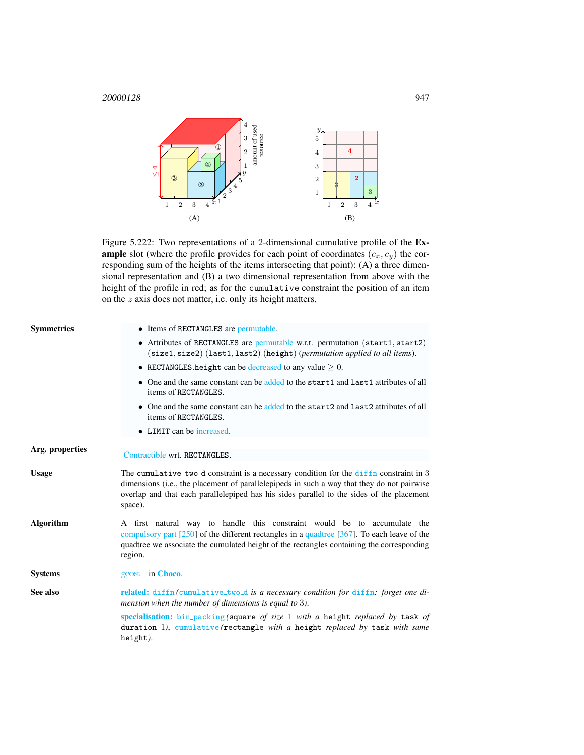<sup>20000128</sup> 947



<span id="page-1-1"></span>Figure 5.222: Two representations of a 2-dimensional cumulative profile of the Ex**ample** slot (where the profile provides for each point of coordinates  $(c_x, c_y)$  the corresponding sum of the heights of the items intersecting that point): (A) a three dimensional representation and (B) a two dimensional representation from above with the height of the profile in red; as for the cumulative constraint the position of an item on the z axis does not matter, i.e. only its height matters.

<span id="page-1-0"></span>

| • Attributes of RECTANGLES are permutable w.r.t. permutation (start1, start2)<br>(size1, size2) (last1, last2) (height) (permutation applied to all items).<br>• RECTANGLES height can be decreased to any value $\geq 0$ .                                                       |
|-----------------------------------------------------------------------------------------------------------------------------------------------------------------------------------------------------------------------------------------------------------------------------------|
|                                                                                                                                                                                                                                                                                   |
|                                                                                                                                                                                                                                                                                   |
| • One and the same constant can be added to the start1 and last1 attributes of all                                                                                                                                                                                                |
| • One and the same constant can be added to the start 2 and last 2 attributes of all                                                                                                                                                                                              |
|                                                                                                                                                                                                                                                                                   |
|                                                                                                                                                                                                                                                                                   |
| The cumulative two d constraint is a necessary condition for the diffn constraint in 3<br>dimensions (i.e., the placement of parallelepipeds in such a way that they do not pairwise<br>overlap and that each parallelepiped has his sides parallel to the sides of the placement |
| A first natural way to handle this constraint would be to accumulate the<br>compulsory part $[250]$ of the different rectangles in a quadtree $[367]$ . To each leave of the<br>quadtree we associate the cumulated height of the rectangles containing the corresponding         |
|                                                                                                                                                                                                                                                                                   |
| related: diffn (cumulative_two_d is a necessary condition for diffn: forget one di-<br>mension when the number of dimensions is equal to 3).                                                                                                                                      |
| specialisation: bin_packing (square of size 1 with a height replaced by task of<br>duration 1), cumulative (rectangle with a height replaced by task with same                                                                                                                    |
|                                                                                                                                                                                                                                                                                   |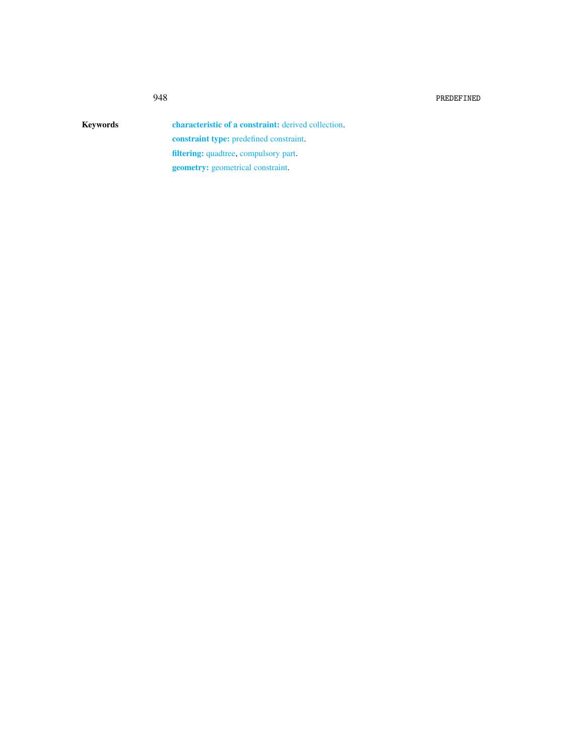Keywords characteristic of a constraint: derived collection. constraint type: predefined constraint. filtering: quadtree, compulsory part. geometry: geometrical constraint.